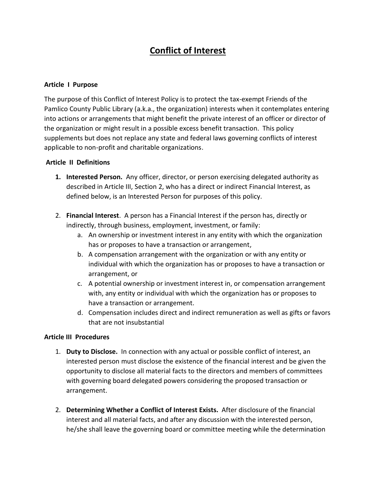# **Conflict of Interest**

#### **Article I Purpose**

The purpose of this Conflict of Interest Policy is to protect the tax-exempt Friends of the Pamlico County Public Library (a.k.a., the organization) interests when it contemplates entering into actions or arrangements that might benefit the private interest of an officer or director of the organization or might result in a possible excess benefit transaction. This policy supplements but does not replace any state and federal laws governing conflicts of interest applicable to non-profit and charitable organizations.

#### **Article II Definitions**

- **1. Interested Person.** Any officer, director, or person exercising delegated authority as described in Article III, Section 2, who has a direct or indirect Financial Interest, as defined below, is an Interested Person for purposes of this policy.
- 2. **Financial Interest**. A person has a Financial Interest if the person has, directly or indirectly, through business, employment, investment, or family:
	- a. An ownership or investment interest in any entity with which the organization has or proposes to have a transaction or arrangement,
	- b. A compensation arrangement with the organization or with any entity or individual with which the organization has or proposes to have a transaction or arrangement, or
	- c. A potential ownership or investment interest in, or compensation arrangement with, any entity or individual with which the organization has or proposes to have a transaction or arrangement.
	- d. Compensation includes direct and indirect remuneration as well as gifts or favors that are not insubstantial

#### **Article III Procedures**

- 1. **Duty to Disclose.** In connection with any actual or possible conflict of interest, an interested person must disclose the existence of the financial interest and be given the opportunity to disclose all material facts to the directors and members of committees with governing board delegated powers considering the proposed transaction or arrangement.
- 2. **Determining Whether a Conflict of Interest Exists.** After disclosure of the financial interest and all material facts, and after any discussion with the interested person, he/she shall leave the governing board or committee meeting while the determination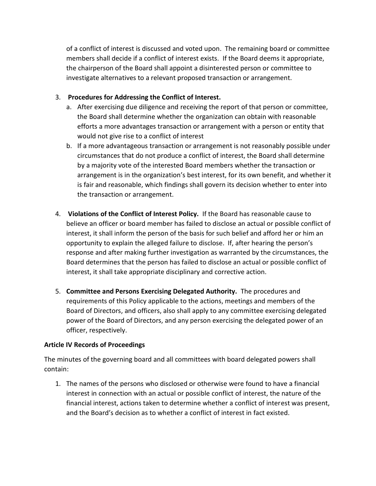of a conflict of interest is discussed and voted upon. The remaining board or committee members shall decide if a conflict of interest exists. If the Board deems it appropriate, the chairperson of the Board shall appoint a disinterested person or committee to investigate alternatives to a relevant proposed transaction or arrangement.

## 3. **Procedures for Addressing the Conflict of Interest.**

- a. After exercising due diligence and receiving the report of that person or committee, the Board shall determine whether the organization can obtain with reasonable efforts a more advantages transaction or arrangement with a person or entity that would not give rise to a conflict of interest
- b. If a more advantageous transaction or arrangement is not reasonably possible under circumstances that do not produce a conflict of interest, the Board shall determine by a majority vote of the interested Board members whether the transaction or arrangement is in the organization's best interest, for its own benefit, and whether it is fair and reasonable, which findings shall govern its decision whether to enter into the transaction or arrangement.
- 4. **Violations of the Conflict of Interest Policy.** If the Board has reasonable cause to believe an officer or board member has failed to disclose an actual or possible conflict of interest, it shall inform the person of the basis for such belief and afford her or him an opportunity to explain the alleged failure to disclose. If, after hearing the person's response and after making further investigation as warranted by the circumstances, the Board determines that the person has failed to disclose an actual or possible conflict of interest, it shall take appropriate disciplinary and corrective action.
- 5. **Committee and Persons Exercising Delegated Authority.** The procedures and requirements of this Policy applicable to the actions, meetings and members of the Board of Directors, and officers, also shall apply to any committee exercising delegated power of the Board of Directors, and any person exercising the delegated power of an officer, respectively.

## **Article IV Records of Proceedings**

The minutes of the governing board and all committees with board delegated powers shall contain:

1. The names of the persons who disclosed or otherwise were found to have a financial interest in connection with an actual or possible conflict of interest, the nature of the financial interest, actions taken to determine whether a conflict of interest was present, and the Board's decision as to whether a conflict of interest in fact existed.